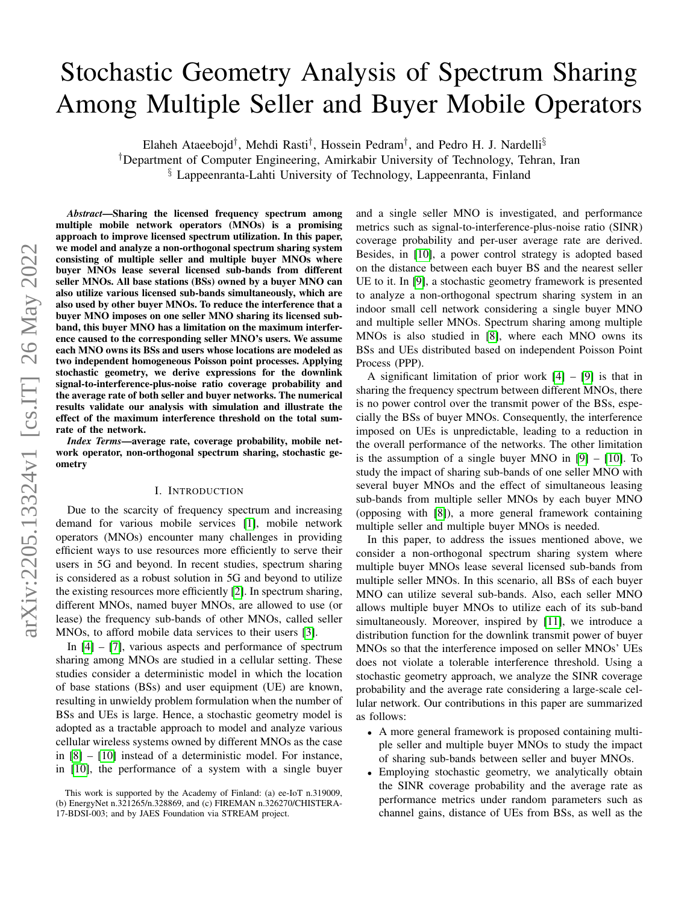# Stochastic Geometry Analysis of Spectrum Sharing Among Multiple Seller and Buyer Mobile Operators

Elaheh Ataeebojd<sup>†</sup>, Mehdi Rasti<sup>†</sup>, Hossein Pedram<sup>†</sup>, and Pedro H. J. Nardelli<sup>§</sup>

†Department of Computer Engineering, Amirkabir University of Technology, Tehran, Iran

§ Lappeenranta-Lahti University of Technology, Lappeenranta, Finland

*Abstract*—Sharing the licensed frequency spectrum among multiple mobile network operators (MNOs) is a promising approach to improve licensed spectrum utilization. In this paper, we model and analyze a non-orthogonal spectrum sharing system consisting of multiple seller and multiple buyer MNOs where buyer MNOs lease several licensed sub-bands from different seller MNOs. All base stations (BSs) owned by a buyer MNO can also utilize various licensed sub-bands simultaneously, which are also used by other buyer MNOs. To reduce the interference that a buyer MNO imposes on one seller MNO sharing its licensed subband, this buyer MNO has a limitation on the maximum interference caused to the corresponding seller MNO's users. We assume each MNO owns its BSs and users whose locations are modeled as two independent homogeneous Poisson point processes. Applying stochastic geometry, we derive expressions for the downlink signal-to-interference-plus-noise ratio coverage probability and the average rate of both seller and buyer networks. The numerical results validate our analysis with simulation and illustrate the effect of the maximum interference threshold on the total sumrate of the network.

*Index Terms*—average rate, coverage probability, mobile network operator, non-orthogonal spectrum sharing, stochastic geometry

## I. INTRODUCTION

Due to the scarcity of frequency spectrum and increasing demand for various mobile services [\[1\]](#page-4-0), mobile network operators (MNOs) encounter many challenges in providing efficient ways to use resources more efficiently to serve their users in 5G and beyond. In recent studies, spectrum sharing is considered as a robust solution in 5G and beyond to utilize the existing resources more efficiently [\[2\]](#page-4-1). In spectrum sharing, different MNOs, named buyer MNOs, are allowed to use (or lease) the frequency sub-bands of other MNOs, called seller MNOs, to afford mobile data services to their users [\[3\]](#page-4-2).

In  $[4]$  –  $[7]$ , various aspects and performance of spectrum sharing among MNOs are studied in a cellular setting. These studies consider a deterministic model in which the location of base stations (BSs) and user equipment (UE) are known, resulting in unwieldy problem formulation when the number of BSs and UEs is large. Hence, a stochastic geometry model is adopted as a tractable approach to model and analyze various cellular wireless systems owned by different MNOs as the case in [\[8\]](#page-5-2) – [\[10\]](#page-5-3) instead of a deterministic model. For instance, in [\[10\]](#page-5-3), the performance of a system with a single buyer and a single seller MNO is investigated, and performance metrics such as signal-to-interference-plus-noise ratio (SINR) coverage probability and per-user average rate are derived. Besides, in [\[10\]](#page-5-3), a power control strategy is adopted based on the distance between each buyer BS and the nearest seller UE to it. In [\[9\]](#page-5-4), a stochastic geometry framework is presented to analyze a non-orthogonal spectrum sharing system in an indoor small cell network considering a single buyer MNO and multiple seller MNOs. Spectrum sharing among multiple MNOs is also studied in [\[8\]](#page-5-2), where each MNO owns its BSs and UEs distributed based on independent Poisson Point Process (PPP).

A significant limitation of prior work  $[4] - [9]$  $[4] - [9]$  $[4] - [9]$  is that in sharing the frequency spectrum between different MNOs, there is no power control over the transmit power of the BSs, especially the BSs of buyer MNOs. Consequently, the interference imposed on UEs is unpredictable, leading to a reduction in the overall performance of the networks. The other limitation is the assumption of a single buyer MNO in  $[9] - [10]$  $[9] - [10]$  $[9] - [10]$ . To study the impact of sharing sub-bands of one seller MNO with several buyer MNOs and the effect of simultaneous leasing sub-bands from multiple seller MNOs by each buyer MNO (opposing with [\[8\]](#page-5-2)), a more general framework containing multiple seller and multiple buyer MNOs is needed.

In this paper, to address the issues mentioned above, we consider a non-orthogonal spectrum sharing system where multiple buyer MNOs lease several licensed sub-bands from multiple seller MNOs. In this scenario, all BSs of each buyer MNO can utilize several sub-bands. Also, each seller MNO allows multiple buyer MNOs to utilize each of its sub-band simultaneously. Moreover, inspired by [\[11\]](#page-5-5), we introduce a distribution function for the downlink transmit power of buyer MNOs so that the interference imposed on seller MNOs' UEs does not violate a tolerable interference threshold. Using a stochastic geometry approach, we analyze the SINR coverage probability and the average rate considering a large-scale cellular network. Our contributions in this paper are summarized as follows:

- A more general framework is proposed containing multiple seller and multiple buyer MNOs to study the impact of sharing sub-bands between seller and buyer MNOs.
- Employing stochastic geometry, we analytically obtain the SINR coverage probability and the average rate as performance metrics under random parameters such as channel gains, distance of UEs from BSs, as well as the

This work is supported by the Academy of Finland: (a) ee-IoT n.319009, (b) EnergyNet n.321265/n.328869, and (c) FIREMAN n.326270/CHISTERA-17-BDSI-003; and by JAES Foundation via STREAM project.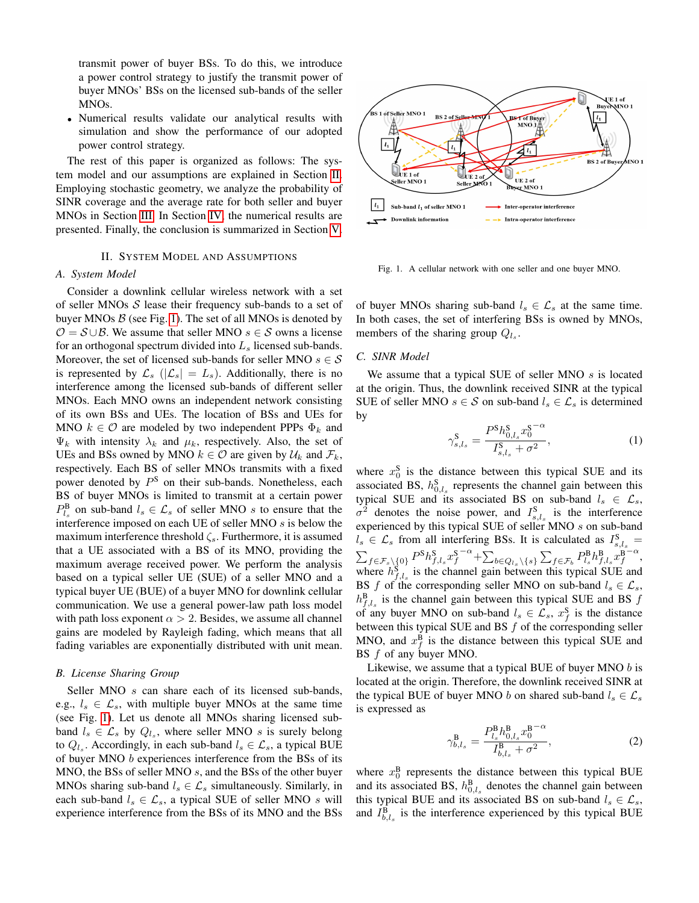transmit power of buyer BSs. To do this, we introduce a power control strategy to justify the transmit power of buyer MNOs' BSs on the licensed sub-bands of the seller MNOs.

• Numerical results validate our analytical results with simulation and show the performance of our adopted power control strategy.

The rest of this paper is organized as follows: The system model and our assumptions are explained in Section [II.](#page-1-0) Employing stochastic geometry, we analyze the probability of SINR coverage and the average rate for both seller and buyer MNOs in Section [III.](#page-2-0) In Section [IV,](#page-3-0) the numerical results are presented. Finally, the conclusion is summarized in Section [V.](#page-4-3)

## II. SYSTEM MODEL AND ASSUMPTIONS

### <span id="page-1-0"></span>*A. System Model*

Consider a downlink cellular wireless network with a set of seller MNOs  $S$  lease their frequency sub-bands to a set of buyer MNOs  $\beta$  (see Fig. [1\)](#page-1-1). The set of all MNOs is denoted by  $O = S \cup B$ . We assume that seller MNO  $s \in S$  owns a license for an orthogonal spectrum divided into  $L<sub>s</sub>$  licensed sub-bands. Moreover, the set of licensed sub-bands for seller MNO  $s \in \mathcal{S}$ is represented by  $\mathcal{L}_s$  ( $|\mathcal{L}_s| = L_s$ ). Additionally, there is no interference among the licensed sub-bands of different seller MNOs. Each MNO owns an independent network consisting of its own BSs and UEs. The location of BSs and UEs for MNO  $k \in \mathcal{O}$  are modeled by two independent PPPs  $\Phi_k$  and  $\Psi_k$  with intensity  $\lambda_k$  and  $\mu_k$ , respectively. Also, the set of UEs and BSs owned by MNO  $k \in \mathcal{O}$  are given by  $\mathcal{U}_k$  and  $\mathcal{F}_k$ , respectively. Each BS of seller MNOs transmits with a fixed power denoted by  $P^S$  on their sub-bands. Nonetheless, each BS of buyer MNOs is limited to transmit at a certain power  $P_{l_s}^{\text{B}}$  on sub-band  $l_s \in \mathcal{L}_s$  of seller MNO s to ensure that the interference imposed on each UE of seller MNO s is below the maximum interference threshold  $\zeta_s$ . Furthermore, it is assumed that a UE associated with a BS of its MNO, providing the maximum average received power. We perform the analysis based on a typical seller UE (SUE) of a seller MNO and a typical buyer UE (BUE) of a buyer MNO for downlink cellular communication. We use a general power-law path loss model with path loss exponent  $\alpha > 2$ . Besides, we assume all channel gains are modeled by Rayleigh fading, which means that all fading variables are exponentially distributed with unit mean.

#### *B. License Sharing Group*

Seller MNO s can share each of its licensed sub-bands, e.g.,  $l_s \in \mathcal{L}_s$ , with multiple buyer MNOs at the same time (see Fig. [1\)](#page-1-1). Let us denote all MNOs sharing licensed subband  $l_s \in \mathcal{L}_s$  by  $Q_{l_s}$ , where seller MNO s is surely belong to  $Q_{l_s}$ . Accordingly, in each sub-band  $l_s \in \mathcal{L}_s$ , a typical BUE of buyer MNO b experiences interference from the BSs of its MNO, the BSs of seller MNO s, and the BSs of the other buyer MNOs sharing sub-band  $l_s \in \mathcal{L}_s$  simultaneously. Similarly, in each sub-band  $l_s \in \mathcal{L}_s$ , a typical SUE of seller MNO s will experience interference from the BSs of its MNO and the BSs



<span id="page-1-1"></span>Fig. 1. A cellular network with one seller and one buyer MNO.

of buyer MNOs sharing sub-band  $l_s \in \mathcal{L}_s$  at the same time. In both cases, the set of interfering BSs is owned by MNOs, members of the sharing group  $Q_{l_s}$ .

# *C. SINR Model*

We assume that a typical SUE of seller MNO  $s$  is located at the origin. Thus, the downlink received SINR at the typical SUE of seller MNO  $s \in S$  on sub-band  $l_s \in \mathcal{L}_s$  is determined by

<span id="page-1-2"></span>
$$
\gamma_{s,l_s}^{\mathbf{S}} = \frac{P^{\mathbf{S}} h_{0,l_s}^{\mathbf{S}} x_0^{\mathbf{S} - \alpha}}{I_{s,l_s}^{\mathbf{S}} + \sigma^2},\tag{1}
$$

where  $x_0^S$  is the distance between this typical SUE and its associated BS,  $h_{0,l_s}^S$  represents the channel gain between this typical SUE and its associated BS on sub-band  $l_s \in \mathcal{L}_s$ ,  $\sigma^2$  denotes the noise power, and  $I_{s,l_s}^S$  is the interference experienced by this typical SUE of seller MNO s on sub-band  $l_s \in \mathcal{L}_s$  from all interfering BSs. It is calculated as  $I_{s,l_s}^S =$  $\sum_{f\in\mathcal{F}_s\backslash\{0\}}P^\text{S} h_{f,l_s}^\text{S} x_f^\text{S}$  $-\alpha + \sum_{b \in Q_{l_s} \backslash \{s\}} \sum_{f \in \mathcal{F}_b} P_{l_s}^{\text{B}} h_{f,l_s}^{\text{B}} x_f^{\text{B}}$  $\frac{1}{-\alpha}$ , where  $h_{f,l_s}^S$  is the channel gain between this typical SUE and BS f of the corresponding seller MNO on sub-band  $l_s \in \mathcal{L}_s$ ,  $h_{f,l_s}^B$  is the channel gain between this typical SUE and BS  $f$ of any buyer MNO on sub-band  $l_s \in \mathcal{L}_s$ ,  $x_f^{\mathcal{S}}$  is the distance between this typical SUE and BS  $f$  of the corresponding seller MNO, and  $x_f^B$  is the distance between this typical SUE and BS f of any buyer MNO.

Likewise, we assume that a typical BUE of buyer MNO  $b$  is located at the origin. Therefore, the downlink received SINR at the typical BUE of buyer MNO b on shared sub-band  $l_s \in \mathcal{L}_s$ is expressed as

<span id="page-1-3"></span>
$$
\gamma_{b,l_s}^{\mathbf{B}} = \frac{P_{l_s}^{\mathbf{B}} h_{0,l_s}^{\mathbf{B}} x_0^{\mathbf{B} - \alpha}}{I_{b,l_s}^{\mathbf{B}} + \sigma^2},\tag{2}
$$

where  $x_0^B$  represents the distance between this typical BUE and its associated BS,  $h_{0,l_s}^B$  denotes the channel gain between this typical BUE and its associated BS on sub-band  $l_s \in \mathcal{L}_s$ , and  $I_{b,l_s}^B$  is the interference experienced by this typical BUE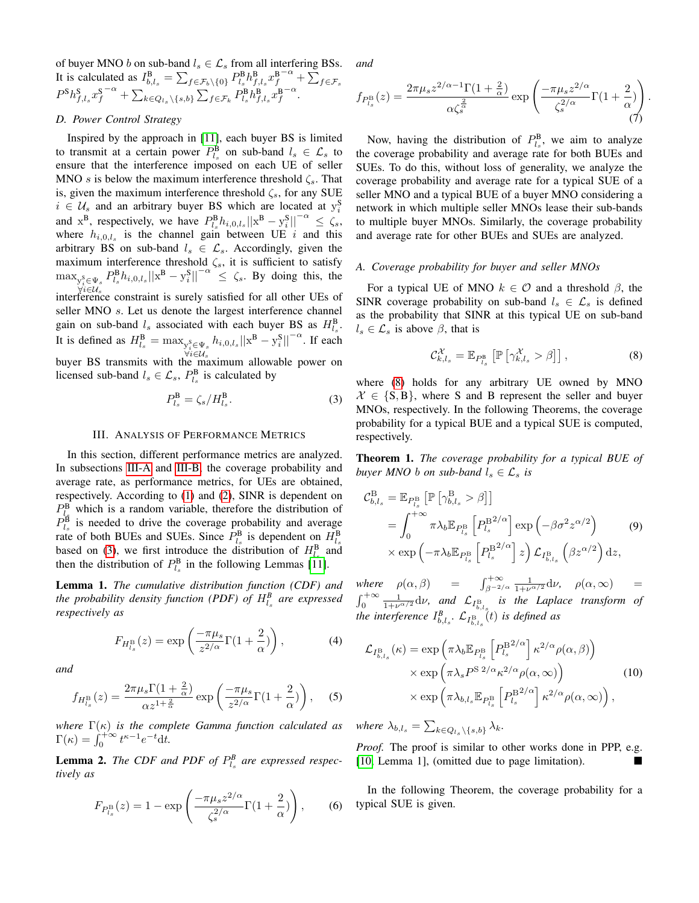of buyer MNO b on sub-band  $l_s \in \mathcal{L}_s$  from all interfering BSs. It is calculated as  $I_{b,l_s}^{\text{B}} = \sum_{f \in \mathcal{F}_b \setminus \{0\}} P_{l_s}^{\text{B}} h_{f,l_s}^{\text{B}} x_f^{\text{B}}$  $^{-\alpha}+\sum_{f\in\mathcal{F}_s}$  $P^{\text{S}} h_{f,l_s}^{\text{S}} x_f^{\text{S}}$  $-\alpha + \sum_{k \in Q_{l_s} \setminus \{s,b\}} \sum_{f \in \mathcal{F}_k} P_{l_s}^{\text{B}} h_{f,l_s}^{\text{B}} x_f^{\text{B}}$ −α .

# <span id="page-2-6"></span>*D. Power Control Strategy*

Inspired by the approach in [\[11\]](#page-5-5), each buyer BS is limited to transmit at a certain power  $P_{l_s}^{\text{B}}$  on sub-band  $l_s \in \mathcal{L}_s$  to ensure that the interference imposed on each UE of seller MNO s is below the maximum interference threshold  $\zeta_s$ . That is, given the maximum interference threshold  $\zeta_s$ , for any SUE  $i \in \mathcal{U}_s$  and an arbitrary buyer BS which are located at  $y_i^S$ and  $x^B$ , respectively, we have  $P_{l_s}^B h_{i,0,l_s} ||x^B - y_i^S||^{-\alpha} \le \zeta_s$ , where  $h_{i,0,l_s}$  is the channel gain between UE i and this arbitrary BS on sub-band  $l_s \in \mathcal{L}_s$ . Accordingly, given the maximum interference threshold  $\zeta_s$ , it is sufficient to satisfy  $\max_{y_i^S \in \Psi_s} P_{l_s}^B h_{i,0,l_s} ||x^B - y_i^S||^{-\alpha} \leq \zeta_s$ . By doing this, the  $\forall i \in U_s$ <br>interference constraint is surely satisfied for all other UEs of seller MNO s. Let us denote the largest interference channel gain on sub-band  $l_s$  associated with each buyer BS as  $H_{l_s}^{\text{B}}$ . It is defined as  $H_{l_s}^{\text{B}} = \max_{\substack{y_i^{\text{S}} \in \Psi_s \\ \forall i \in \mathcal{U}_s}}$  $|h_{i,0,l_s}||\mathbf{x}^{\mathbf{B}} - \mathbf{y}_i^{\mathbf{S}}||^{-\alpha}$ . If each buyer BS transmits with the maximum allowable power on licensed sub-band  $l_s \in \mathcal{L}_s$ ,  $P_{l_s}^{\text{B}}$  is calculated by

<span id="page-2-2"></span>
$$
P_{l_s}^{\mathbf{B}} = \zeta_s / H_{l_s}^{\mathbf{B}}.
$$

#### III. ANALYSIS OF PERFORMANCE METRICS

<span id="page-2-0"></span>In this section, different performance metrics are analyzed. In subsections [III-A](#page-2-1) and [III-B,](#page-3-1) the coverage probability and average rate, as performance metrics, for UEs are obtained, respectively. According to [\(1\)](#page-1-2) and [\(2\)](#page-1-3), SINR is dependent on  $P_{l_s}^{\text{B}}$  which is a random variable, therefore the distribution of  $P_{l_s}^{\text{B}}$  is needed to drive the coverage probability and average rate of both BUEs and SUEs. Since  $P_{l_s}^{\text{B}}$  is dependent on  $H_{l_s}^{\text{B}}$ based on [\(3\)](#page-2-2), we first introduce the distribution of  $H_{l_s}^{\text{B}}$  and then the distribution of  $P_{l_s}^{\text{B}}$  in the following Lemmas [\[11\]](#page-5-5).

Lemma 1. *The cumulative distribution function (CDF) and the probability density function (PDF) of*  $H_{l_s}^B$  *are expressed respectively as*

$$
F_{H_{l_s}^{\mathcal{B}}}(z) = \exp\left(\frac{-\pi\mu_s}{z^{2/\alpha}}\Gamma(1+\frac{2}{\alpha})\right),\tag{4}
$$

*and*

$$
f_{H_{l_s}^{\mathcal{B}}}(z) = \frac{2\pi\mu_s\Gamma(1+\frac{2}{\alpha})}{\alpha z^{1+\frac{2}{\alpha}}} \exp\left(\frac{-\pi\mu_s}{z^{2/\alpha}}\Gamma(1+\frac{2}{\alpha})\right),\quad (5)
$$

*where* Γ(κ) *is the complete Gamma function calculated as*  $\Gamma(\kappa) = \int_0^{+\infty} t^{\kappa-1} e^{-t} dt.$ 

<span id="page-2-5"></span>**Lemma 2.** The CDF and PDF of  $P_{l_s}^B$  are expressed respec*tively as*

$$
F_{P_{l_s}^{\mathcal{B}}}(z) = 1 - \exp\left(\frac{-\pi \mu_s z^{2/\alpha}}{\zeta_s^{2/\alpha}} \Gamma(1 + \frac{2}{\alpha})\right),\qquad(6)
$$

*and*

$$
f_{P_{l_s}^{\mathcal{B}}}(z) = \frac{2\pi\mu_s z^{2/\alpha - 1}\Gamma(1 + \frac{2}{\alpha})}{\alpha \zeta_s^{\frac{2}{\alpha}}} \exp\left(\frac{-\pi\mu_s z^{2/\alpha}}{\zeta_s^{2/\alpha}}\Gamma(1 + \frac{2}{\alpha})\right)
$$
(7)

.

Now, having the distribution of  $P_{l_s}^{\text{B}}$ , we aim to analyze the coverage probability and average rate for both BUEs and SUEs. To do this, without loss of generality, we analyze the coverage probability and average rate for a typical SUE of a seller MNO and a typical BUE of a buyer MNO considering a network in which multiple seller MNOs lease their sub-bands to multiple buyer MNOs. Similarly, the coverage probability and average rate for other BUEs and SUEs are analyzed.

#### <span id="page-2-1"></span>*A. Coverage probability for buyer and seller MNOs*

For a typical UE of MNO  $k \in \mathcal{O}$  and a threshold  $\beta$ , the SINR coverage probability on sub-band  $l_s \in \mathcal{L}_s$  is defined as the probability that SINR at this typical UE on sub-band  $l_s \in \mathcal{L}_s$  is above  $\beta$ , that is

<span id="page-2-3"></span>
$$
\mathcal{C}_{k,l_s}^{\mathcal{X}} = \mathbb{E}_{P_{l_s}^{\mathsf{B}}} \left[ \mathbb{P} \left[ \gamma_{k,l_s}^{\mathcal{X}} > \beta \right] \right], \tag{8}
$$

where [\(8\)](#page-2-3) holds for any arbitrary UE owned by MNO  $X \in \{S, B\}$ , where S and B represent the seller and buyer MNOs, respectively. In the following Theorems, the coverage probability for a typical BUE and a typical SUE is computed, respectively.

<span id="page-2-4"></span>Theorem 1. *The coverage probability for a typical BUE of buyer MNO b on sub-band*  $l_s \in \mathcal{L}_s$  *is* 

$$
\mathcal{C}_{b,l_s}^{\mathcal{B}} = \mathbb{E}_{P_{l_s}^{\mathcal{B}}} \left[ \mathbb{P} \left[ \gamma_{b,l_s}^{\mathcal{B}} > \beta \right] \right]
$$
  
=  $\int_0^{+\infty} \pi \lambda_b \mathbb{E}_{P_{l_s}^{\mathcal{B}}} \left[ P_{l_s}^{\mathcal{B}^{2/\alpha}} \right] \exp \left( -\beta \sigma^2 z^{\alpha/2} \right)$  (9)  
×  $\exp \left( -\pi \lambda_b \mathbb{E}_{P_{l_s}^{\mathcal{B}}} \left[ P_{l_s}^{\mathcal{B}^{2/\alpha}} \right] z \right) \mathcal{L}_{I_{b,l_s}^{\mathcal{B}}} \left( \beta z^{\alpha/2} \right) dz,$ 

where  $\rho(\alpha, \beta)$  =  $\int_{\beta^{-2/\alpha}}^{+\infty} \frac{1}{1+\nu^{\alpha/2}} d\nu$ ,  $\rho(\alpha, \infty)$  =  $\int_0^{+\infty} \frac{1}{1+\nu^{\alpha/2}} d\nu$ , and  $\mathcal{L}_{I_{b,l_s}}$  is the Laplace transform of *the interference*  $I_{b,l_s}^B$ .  $\mathcal{L}_{I_{b,l_s}^B}(t)$  *is defined as* 

$$
\mathcal{L}_{I_{b,l_s}^{B}}(\kappa) = \exp\left(\pi\lambda_b \mathbb{E}_{P_{l_s}^{B}} \left[P_{l_s}^{B^{2/\alpha}}\right] \kappa^{2/\alpha} \rho(\alpha, \beta)\right) \times \exp\left(\pi\lambda_s P^{S2/\alpha} \kappa^{2/\alpha} \rho(\alpha, \infty)\right) \times \exp\left(\pi\lambda_{b,l_s} \mathbb{E}_{P_{l_s}^{B}} \left[P_{l_s}^{B^{2/\alpha}}\right] \kappa^{2/\alpha} \rho(\alpha, \infty)\right),
$$
\n(10)

where  $\lambda_{b,l_s} = \sum_{k \in Q_{l_s} \setminus \{s,b\}} \lambda_k$ .

*Proof.* The proof is similar to other works done in PPP, e.g. [\[10,](#page-5-3) Lemma 1], (omitted due to page limitation).

In the following Theorem, the coverage probability for a typical SUE is given.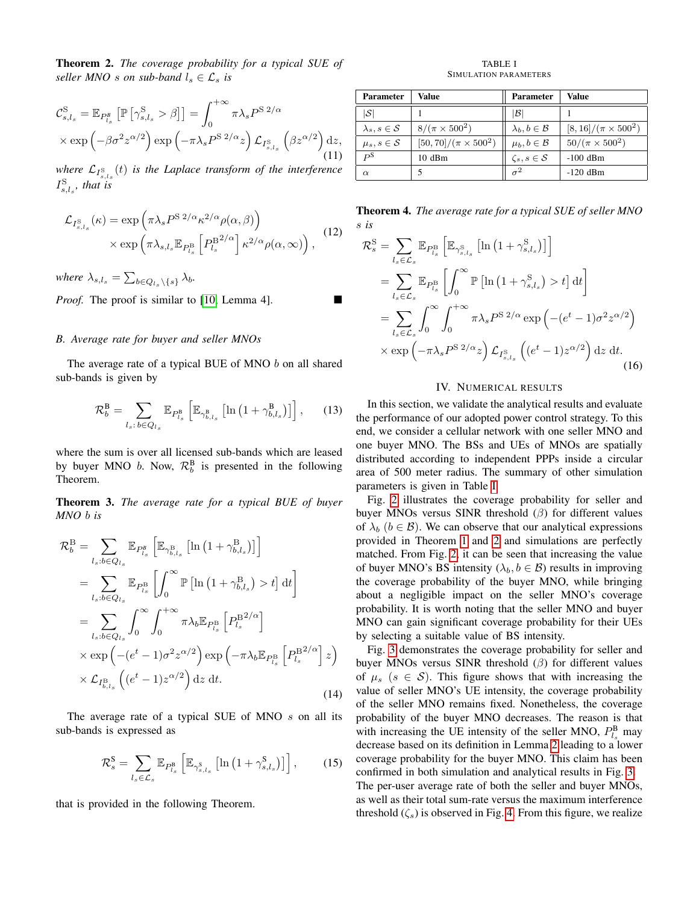<span id="page-3-3"></span>Theorem 2. *The coverage probability for a typical SUE of seller MNO s on sub-band*  $l_s \in \mathcal{L}_s$  *is* 

$$
\mathcal{C}_{s,l_s}^{\mathcal{S}} = \mathbb{E}_{P_{l_s}^B} \left[ \mathbb{P} \left[ \gamma_{s,l_s}^{\mathcal{S}} > \beta \right] \right] = \int_0^{+\infty} \pi \lambda_s P^{\mathcal{S} \ 2/\alpha} \times \exp \left( -\beta \sigma^2 z^{\alpha/2} \right) \exp \left( -\pi \lambda_s P^{\mathcal{S} \ 2/\alpha} z \right) \mathcal{L}_{I_{s,l_s}^{\mathcal{S}}} \left( \beta z^{\alpha/2} \right) dz, \tag{11}
$$

where  $\mathcal{L}_{I_{s,l_s}^{\mathcal{S}}}(t)$  *is the Laplace transform of the interference*  $I_{s,l_s}^{\rm S}$ *, that is* 

$$
\mathcal{L}_{I_{s,l_s}^{\mathrm{S}}}(\kappa) = \exp\left(\pi \lambda_s P^{\mathrm{S}\ 2/\alpha} \kappa^{2/\alpha} \rho(\alpha, \beta)\right) \times \exp\left(\pi \lambda_{s,l_s} \mathbb{E}_{P_{l_s}^{\mathrm{B}}}\left[P_{l_s}^{\mathrm{B}^{2/\alpha}}\right] \kappa^{2/\alpha} \rho(\alpha, \infty)\right), \tag{12}
$$

where  $\lambda_{s,l_s} = \sum_{b \in Q_{l_s} \setminus \{s\}} \lambda_b$ .

*Proof.* The proof is similar to [\[10,](#page-5-3) Lemma 4].

#### <span id="page-3-1"></span>*B. Average rate for buyer and seller MNOs*

The average rate of a typical BUE of MNO b on all shared sub-bands is given by

$$
\mathcal{R}_b^{\text{B}} = \sum_{l_s: b \in Q_{l_s}} \mathbb{E}_{P_{l_s}^{\text{B}}} \left[ \mathbb{E}_{\gamma_{b,l_s}^{\text{B}}} \left[ \ln \left( 1 + \gamma_{b,l_s}^{\text{B}} \right) \right] \right], \qquad (13)
$$

where the sum is over all licensed sub-bands which are leased by buyer MNO *b*. Now,  $\mathcal{R}_b^B$  is presented in the following Theorem.

Theorem 3. *The average rate for a typical BUE of buyer MNO* b *is*

$$
\mathcal{R}_{b}^{\mathcal{B}} = \sum_{l_{s}:b \in Q_{l_{s}}} \mathbb{E}_{P_{l_{s}}^{B}} \left[ \mathbb{E}_{\gamma_{b,l_{s}}^{\mathcal{B}}} \left[ \ln \left( 1 + \gamma_{b,l_{s}}^{\mathcal{B}} \right) \right] \right]
$$
\n
$$
= \sum_{l_{s}:b \in Q_{l_{s}}} \mathbb{E}_{P_{l_{s}}^{\mathcal{B}}} \left[ \int_{0}^{\infty} \mathbb{P} \left[ \ln \left( 1 + \gamma_{b,l_{s}}^{\mathcal{B}} \right) > t \right] dt \right]
$$
\n
$$
= \sum_{l_{s}:b \in Q_{l_{s}}} \int_{0}^{\infty} \int_{0}^{+\infty} \pi \lambda_{b} \mathbb{E}_{P_{l_{s}}^{\mathcal{B}}} \left[ P_{l_{s}}^{\mathcal{B}^{2/\alpha}} \right]
$$
\n
$$
\times \exp \left( -(e^{t} - 1) \sigma^{2} z^{\alpha/2} \right) \exp \left( -\pi \lambda_{b} \mathbb{E}_{P_{l_{s}}^{\mathcal{B}}} \left[ P_{l_{s}}^{\mathcal{B}^{2/\alpha}} \right] z \right)
$$
\n
$$
\times \mathcal{L}_{I_{b,l_{s}}^{\mathcal{B}}} \left( (e^{t} - 1) z^{\alpha/2} \right) dz dt.
$$
\n(14)

The average rate of a typical SUE of MNO  $s$  on all its sub-bands is expressed as

$$
\mathcal{R}_s^{\mathbf{S}} = \sum_{l_s \in \mathcal{L}_s} \mathbb{E}_{P_{l_s}^{\mathbf{B}}} \left[ \mathbb{E}_{\gamma_{s,l_s}^{\mathbf{S}}} \left[ \ln \left( 1 + \gamma_{s,l_s}^{\mathbf{S}} \right) \right] \right],\tag{15}
$$

that is provided in the following Theorem.

TABLE I SIMULATION PARAMETERS

<span id="page-3-2"></span>

| <b>Parameter</b>               | Value                         | <b>Parameter</b>               | Value                        |
|--------------------------------|-------------------------------|--------------------------------|------------------------------|
| $ \mathcal{S} $                |                               | $\mathcal{B}$                  |                              |
| $\lambda_s, s \in \mathcal{S}$ | $8/(\pi \times 500^2)$        | $\lambda_h, b \in \mathcal{B}$ | $[8, 16]/(\pi \times 500^2)$ |
| $\mu_s, s \in \mathcal{S}$     | $[50, 70]/(\pi \times 500^2)$ | $\mu_b, b \in \mathcal{B}$     | $50/(\pi \times 500^2)$      |
| P <sub>S</sub>                 | $10$ dBm                      | $\zeta_s, s \in \mathcal{S}$   | $-100$ dBm                   |
| $\alpha$                       |                               | $\sigma^2$                     | $-120$ dBm                   |

<span id="page-3-4"></span>Theorem 4. *The average rate for a typical SUE of seller MNO* s *is*

$$
\mathcal{R}_s^{\mathcal{S}} = \sum_{l_s \in \mathcal{L}_s} \mathbb{E}_{P_{l_s}^{\mathcal{B}}} \left[ \mathbb{E}_{\gamma_{s,l_s}^{\mathcal{S}}} \left[ \ln \left( 1 + \gamma_{s,l_s}^{\mathcal{S}} \right) \right] \right]
$$
  
\n
$$
= \sum_{l_s \in \mathcal{L}_s} \mathbb{E}_{P_{l_s}^{\mathcal{B}}} \left[ \int_0^\infty \mathbb{P} \left[ \ln \left( 1 + \gamma_{s,l_s}^{\mathcal{S}} \right) > t \right] dt \right]
$$
  
\n
$$
= \sum_{l_s \in \mathcal{L}_s} \int_0^\infty \int_0^{+\infty} \pi \lambda_s P^{\mathcal{S} 2/\alpha} \exp \left( -(e^t - 1) \sigma^2 z^{\alpha/2} \right)
$$
  
\n
$$
\times \exp \left( -\pi \lambda_s P^{\mathcal{S} 2/\alpha} z \right) \mathcal{L}_{I_{s,l_s}^{\mathcal{S}}} \left( (e^t - 1) z^{\alpha/2} \right) dz dt.
$$
\n(16)

#### IV. NUMERICAL RESULTS

<span id="page-3-0"></span>In this section, we validate the analytical results and evaluate the performance of our adopted power control strategy. To this end, we consider a cellular network with one seller MNO and one buyer MNO. The BSs and UEs of MNOs are spatially distributed according to independent PPPs inside a circular area of 500 meter radius. The summary of other simulation parameters is given in Table [I.](#page-3-2)

Fig. [2](#page-4-4) illustrates the coverage probability for seller and buyer MNOs versus SINR threshold  $(\beta)$  for different values of  $\lambda_b$  ( $b \in \mathcal{B}$ ). We can observe that our analytical expressions provided in Theorem [1](#page-2-4) and [2](#page-3-3) and simulations are perfectly matched. From Fig. [2,](#page-4-4) it can be seen that increasing the value of buyer MNO's BS intensity ( $\lambda_b, b \in \mathcal{B}$ ) results in improving the coverage probability of the buyer MNO, while bringing about a negligible impact on the seller MNO's coverage probability. It is worth noting that the seller MNO and buyer MNO can gain significant coverage probability for their UEs by selecting a suitable value of BS intensity.

Fig. [3](#page-4-5) demonstrates the coverage probability for seller and buyer MNOs versus SINR threshold  $(\beta)$  for different values of  $\mu_s$  ( $s \in S$ ). This figure shows that with increasing the value of seller MNO's UE intensity, the coverage probability of the seller MNO remains fixed. Nonetheless, the coverage probability of the buyer MNO decreases. The reason is that with increasing the UE intensity of the seller MNO,  $P_{l_s}^{\text{B}}$  may decrease based on its definition in Lemma [2](#page-2-5) leading to a lower coverage probability for the buyer MNO. This claim has been confirmed in both simulation and analytical results in Fig. [3.](#page-4-5) The per-user average rate of both the seller and buyer MNOs, as well as their total sum-rate versus the maximum interference threshold  $(\zeta_s)$  is observed in Fig. [4.](#page-4-6) From this figure, we realize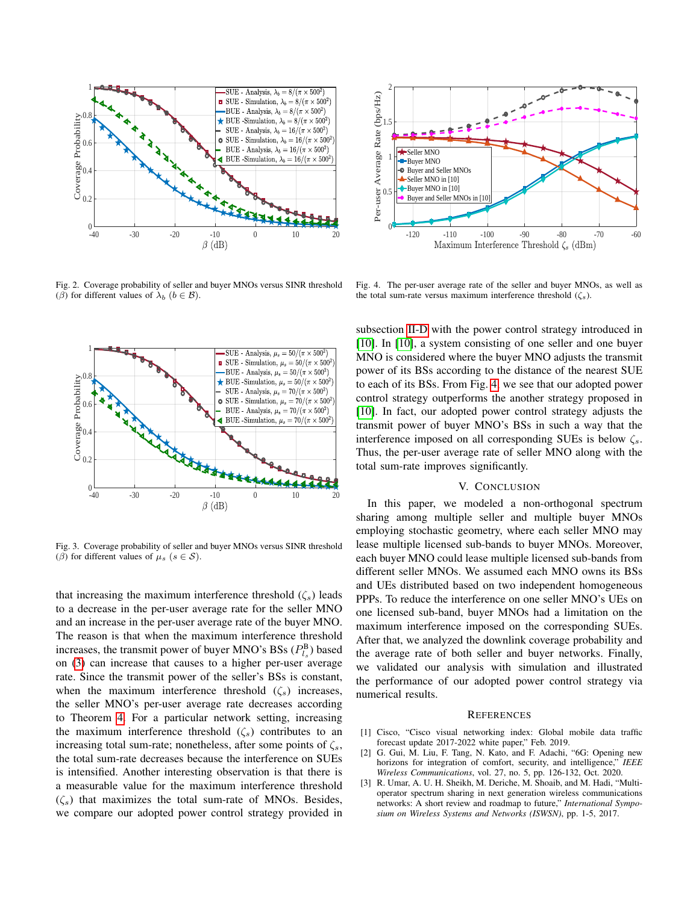

<span id="page-4-4"></span>Fig. 2. Coverage probability of seller and buyer MNOs versus SINR threshold (β) for different values of  $\lambda_b$  ( $b \in \mathcal{B}$ ).



<span id="page-4-5"></span>Fig. 3. Coverage probability of seller and buyer MNOs versus SINR threshold (β) for different values of  $\mu_s$  ( $s \in S$ ).

that increasing the maximum interference threshold  $(\zeta_s)$  leads to a decrease in the per-user average rate for the seller MNO and an increase in the per-user average rate of the buyer MNO. The reason is that when the maximum interference threshold increases, the transmit power of buyer MNO's BSs  $(P_{l_s}^B)$  based on [\(3\)](#page-2-2) can increase that causes to a higher per-user average rate. Since the transmit power of the seller's BSs is constant, when the maximum interference threshold  $(\zeta_s)$  increases, the seller MNO's per-user average rate decreases according to Theorem [4.](#page-3-4) For a particular network setting, increasing the maximum interference threshold  $(\zeta_s)$  contributes to an increasing total sum-rate; nonetheless, after some points of  $\zeta_s$ , the total sum-rate decreases because the interference on SUEs is intensified. Another interesting observation is that there is a measurable value for the maximum interference threshold  $(\zeta_s)$  that maximizes the total sum-rate of MNOs. Besides, we compare our adopted power control strategy provided in



<span id="page-4-6"></span>Fig. 4. The per-user average rate of the seller and buyer MNOs, as well as the total sum-rate versus maximum interference threshold  $(\zeta_s)$ .

subsection [II-D](#page-2-6) with the power control strategy introduced in [\[10\]](#page-5-3). In [\[10\]](#page-5-3), a system consisting of one seller and one buyer MNO is considered where the buyer MNO adjusts the transmit power of its BSs according to the distance of the nearest SUE to each of its BSs. From Fig. [4,](#page-4-6) we see that our adopted power control strategy outperforms the another strategy proposed in [\[10\]](#page-5-3). In fact, our adopted power control strategy adjusts the transmit power of buyer MNO's BSs in such a way that the interference imposed on all corresponding SUEs is below  $\zeta_s$ . Thus, the per-user average rate of seller MNO along with the total sum-rate improves significantly.

#### V. CONCLUSION

<span id="page-4-3"></span>In this paper, we modeled a non-orthogonal spectrum sharing among multiple seller and multiple buyer MNOs employing stochastic geometry, where each seller MNO may lease multiple licensed sub-bands to buyer MNOs. Moreover, each buyer MNO could lease multiple licensed sub-bands from different seller MNOs. We assumed each MNO owns its BSs and UEs distributed based on two independent homogeneous PPPs. To reduce the interference on one seller MNO's UEs on one licensed sub-band, buyer MNOs had a limitation on the maximum interference imposed on the corresponding SUEs. After that, we analyzed the downlink coverage probability and the average rate of both seller and buyer networks. Finally, we validated our analysis with simulation and illustrated the performance of our adopted power control strategy via numerical results.

#### **REFERENCES**

- <span id="page-4-0"></span>[1] Cisco, "Cisco visual networking index: Global mobile data traffic forecast update 2017-2022 white paper," Feb. 2019.
- <span id="page-4-1"></span>[2] G. Gui, M. Liu, F. Tang, N. Kato, and F. Adachi, "6G: Opening new horizons for integration of comfort, security, and intelligence," *IEEE Wireless Communications*, vol. 27, no. 5, pp. 126-132, Oct. 2020.
- <span id="page-4-2"></span>[3] R. Umar, A. U. H. Sheikh, M. Deriche, M. Shoaib, and M. Hadi, "Multioperator spectrum sharing in next generation wireless communications networks: A short review and roadmap to future," *International Symposium on Wireless Systems and Networks (ISWSN)*, pp. 1-5, 2017.